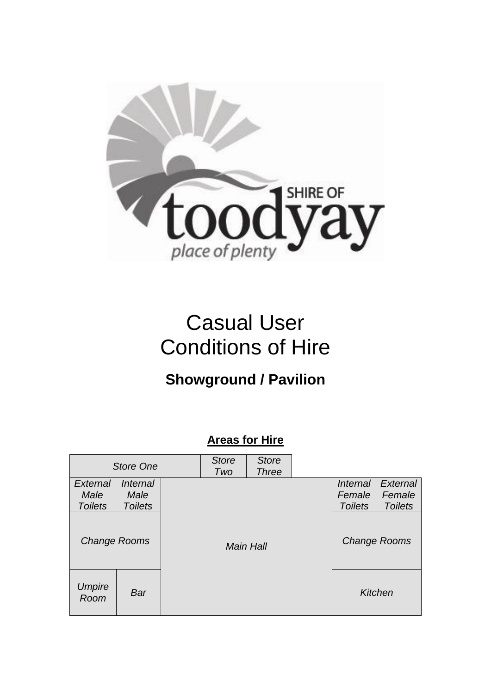

# Casual User Conditions of Hire

## **Showground / Pavilion**

### **Areas for Hire**

| <b>Store One</b>                   |                                           | <b>Store</b><br>Two | <b>Store</b><br><b>Three</b> |  |         |                                                    |                                      |
|------------------------------------|-------------------------------------------|---------------------|------------------------------|--|---------|----------------------------------------------------|--------------------------------------|
| External<br>Male<br><b>Toilets</b> | <i>Internal</i><br>Male<br><b>Toilets</b> |                     |                              |  |         | <i><b>Internal</b></i><br>Female<br><b>Toilets</b> | External<br>Female<br><b>Toilets</b> |
| Change Rooms                       |                                           |                     | <b>Main Hall</b>             |  |         | <b>Change Rooms</b>                                |                                      |
| Umpire<br>Room                     | Bar                                       |                     |                              |  | Kitchen |                                                    |                                      |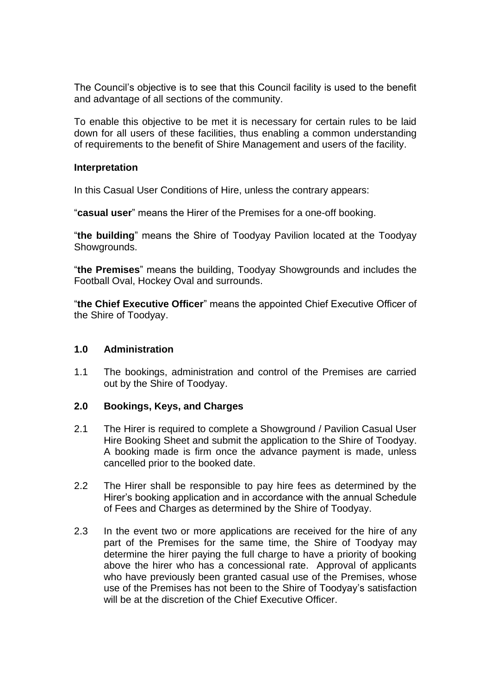The Council's objective is to see that this Council facility is used to the benefit and advantage of all sections of the community.

To enable this objective to be met it is necessary for certain rules to be laid down for all users of these facilities, thus enabling a common understanding of requirements to the benefit of Shire Management and users of the facility.

#### **Interpretation**

In this Casual User Conditions of Hire, unless the contrary appears:

"**casual user**" means the Hirer of the Premises for a one-off booking.

"**the building**" means the Shire of Toodyay Pavilion located at the Toodyay Showgrounds.

"**the Premises**" means the building, Toodyay Showgrounds and includes the Football Oval, Hockey Oval and surrounds.

"**the Chief Executive Officer**" means the appointed Chief Executive Officer of the Shire of Toodyay.

#### **1.0 Administration**

1.1 The bookings, administration and control of the Premises are carried out by the Shire of Toodyay.

#### **2.0 Bookings, Keys, and Charges**

- 2.1 The Hirer is required to complete a Showground / Pavilion Casual User Hire Booking Sheet and submit the application to the Shire of Toodyay. A booking made is firm once the advance payment is made, unless cancelled prior to the booked date.
- 2.2 The Hirer shall be responsible to pay hire fees as determined by the Hirer's booking application and in accordance with the annual Schedule of Fees and Charges as determined by the Shire of Toodyay.
- 2.3 In the event two or more applications are received for the hire of any part of the Premises for the same time, the Shire of Toodyay may determine the hirer paying the full charge to have a priority of booking above the hirer who has a concessional rate. Approval of applicants who have previously been granted casual use of the Premises, whose use of the Premises has not been to the Shire of Toodyay's satisfaction will be at the discretion of the Chief Executive Officer.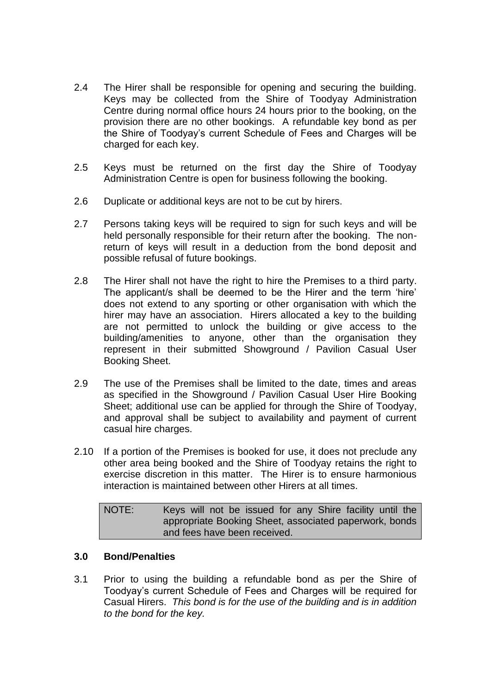- 2.4 The Hirer shall be responsible for opening and securing the building. Keys may be collected from the Shire of Toodyay Administration Centre during normal office hours 24 hours prior to the booking, on the provision there are no other bookings. A refundable key bond as per the Shire of Toodyay's current Schedule of Fees and Charges will be charged for each key.
- 2.5 Keys must be returned on the first day the Shire of Toodyay Administration Centre is open for business following the booking.
- 2.6 Duplicate or additional keys are not to be cut by hirers.
- 2.7 Persons taking keys will be required to sign for such keys and will be held personally responsible for their return after the booking. The nonreturn of keys will result in a deduction from the bond deposit and possible refusal of future bookings.
- 2.8 The Hirer shall not have the right to hire the Premises to a third party. The applicant/s shall be deemed to be the Hirer and the term 'hire' does not extend to any sporting or other organisation with which the hirer may have an association. Hirers allocated a key to the building are not permitted to unlock the building or give access to the building/amenities to anyone, other than the organisation they represent in their submitted Showground / Pavilion Casual User Booking Sheet.
- 2.9 The use of the Premises shall be limited to the date, times and areas as specified in the Showground / Pavilion Casual User Hire Booking Sheet; additional use can be applied for through the Shire of Toodyay, and approval shall be subject to availability and payment of current casual hire charges.
- 2.10 If a portion of the Premises is booked for use, it does not preclude any other area being booked and the Shire of Toodyay retains the right to exercise discretion in this matter. The Hirer is to ensure harmonious interaction is maintained between other Hirers at all times.

NOTE: Keys will not be issued for any Shire facility until the appropriate Booking Sheet, associated paperwork, bonds and fees have been received.

#### **3.0 Bond/Penalties**

3.1 Prior to using the building a refundable bond as per the Shire of Toodyay's current Schedule of Fees and Charges will be required for Casual Hirers. *This bond is for the use of the building and is in addition to the bond for the key.*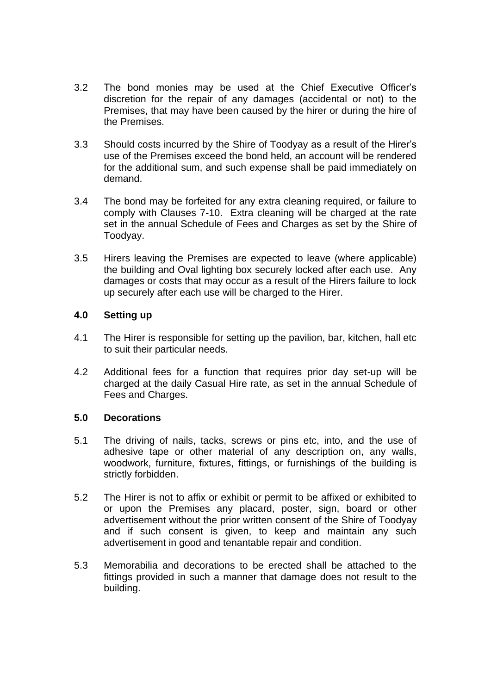- 3.2 The bond monies may be used at the Chief Executive Officer's discretion for the repair of any damages (accidental or not) to the Premises, that may have been caused by the hirer or during the hire of the Premises.
- 3.3 Should costs incurred by the Shire of Toodyay as a result of the Hirer's use of the Premises exceed the bond held, an account will be rendered for the additional sum, and such expense shall be paid immediately on demand.
- 3.4 The bond may be forfeited for any extra cleaning required, or failure to comply with Clauses 7-10. Extra cleaning will be charged at the rate set in the annual Schedule of Fees and Charges as set by the Shire of Toodyay.
- 3.5 Hirers leaving the Premises are expected to leave (where applicable) the building and Oval lighting box securely locked after each use. Any damages or costs that may occur as a result of the Hirers failure to lock up securely after each use will be charged to the Hirer.

#### **4.0 Setting up**

- 4.1 The Hirer is responsible for setting up the pavilion, bar, kitchen, hall etc to suit their particular needs.
- 4.2 Additional fees for a function that requires prior day set-up will be charged at the daily Casual Hire rate, as set in the annual Schedule of Fees and Charges.

#### **5.0 Decorations**

- 5.1 The driving of nails, tacks, screws or pins etc, into, and the use of adhesive tape or other material of any description on, any walls, woodwork, furniture, fixtures, fittings, or furnishings of the building is strictly forbidden.
- 5.2 The Hirer is not to affix or exhibit or permit to be affixed or exhibited to or upon the Premises any placard, poster, sign, board or other advertisement without the prior written consent of the Shire of Toodyay and if such consent is given, to keep and maintain any such advertisement in good and tenantable repair and condition.
- 5.3 Memorabilia and decorations to be erected shall be attached to the fittings provided in such a manner that damage does not result to the building.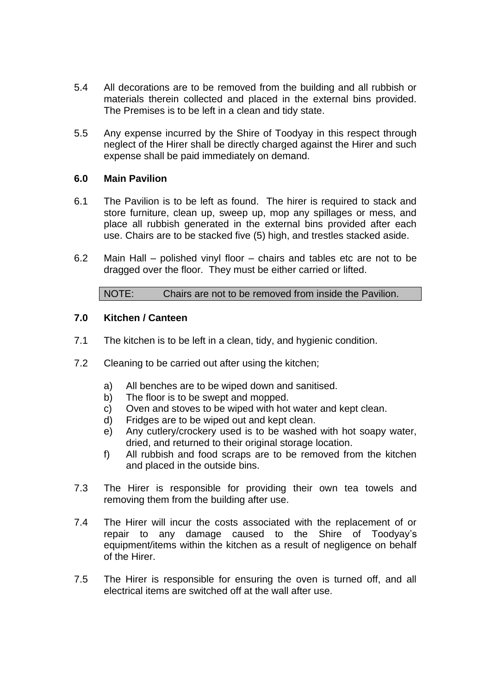- 5.4 All decorations are to be removed from the building and all rubbish or materials therein collected and placed in the external bins provided. The Premises is to be left in a clean and tidy state.
- 5.5 Any expense incurred by the Shire of Toodyay in this respect through neglect of the Hirer shall be directly charged against the Hirer and such expense shall be paid immediately on demand.

#### **6.0 Main Pavilion**

- 6.1 The Pavilion is to be left as found. The hirer is required to stack and store furniture, clean up, sweep up, mop any spillages or mess, and place all rubbish generated in the external bins provided after each use. Chairs are to be stacked five (5) high, and trestles stacked aside.
- 6.2 Main Hall polished vinyl floor chairs and tables etc are not to be dragged over the floor. They must be either carried or lifted.

NOTE: Chairs are not to be removed from inside the Pavilion.

#### **7.0 Kitchen / Canteen**

- 7.1 The kitchen is to be left in a clean, tidy, and hygienic condition.
- 7.2 Cleaning to be carried out after using the kitchen;
	- a) All benches are to be wiped down and sanitised.
	- b) The floor is to be swept and mopped.
	- c) Oven and stoves to be wiped with hot water and kept clean.
	- d) Fridges are to be wiped out and kept clean.
	- e) Any cutlery/crockery used is to be washed with hot soapy water, dried, and returned to their original storage location.
	- f) All rubbish and food scraps are to be removed from the kitchen and placed in the outside bins.
- 7.3 The Hirer is responsible for providing their own tea towels and removing them from the building after use.
- 7.4 The Hirer will incur the costs associated with the replacement of or repair to any damage caused to the Shire of Toodyay's equipment/items within the kitchen as a result of negligence on behalf of the Hirer.
- 7.5 The Hirer is responsible for ensuring the oven is turned off, and all electrical items are switched off at the wall after use.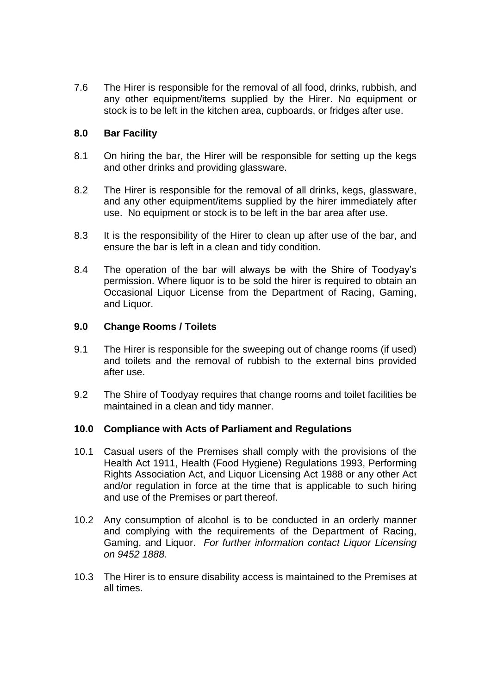7.6 The Hirer is responsible for the removal of all food, drinks, rubbish, and any other equipment/items supplied by the Hirer. No equipment or stock is to be left in the kitchen area, cupboards, or fridges after use.

#### **8.0 Bar Facility**

- 8.1 On hiring the bar, the Hirer will be responsible for setting up the kegs and other drinks and providing glassware.
- 8.2 The Hirer is responsible for the removal of all drinks, kegs, glassware, and any other equipment/items supplied by the hirer immediately after use. No equipment or stock is to be left in the bar area after use.
- 8.3 It is the responsibility of the Hirer to clean up after use of the bar, and ensure the bar is left in a clean and tidy condition.
- 8.4 The operation of the bar will always be with the Shire of Toodyay's permission. Where liquor is to be sold the hirer is required to obtain an Occasional Liquor License from the Department of Racing, Gaming, and Liquor.

#### **9.0 Change Rooms / Toilets**

- 9.1 The Hirer is responsible for the sweeping out of change rooms (if used) and toilets and the removal of rubbish to the external bins provided after use.
- 9.2 The Shire of Toodyay requires that change rooms and toilet facilities be maintained in a clean and tidy manner.

#### **10.0 Compliance with Acts of Parliament and Regulations**

- 10.1 Casual users of the Premises shall comply with the provisions of the Health Act 1911, Health (Food Hygiene) Regulations 1993, Performing Rights Association Act, and Liquor Licensing Act 1988 or any other Act and/or regulation in force at the time that is applicable to such hiring and use of the Premises or part thereof.
- 10.2 Any consumption of alcohol is to be conducted in an orderly manner and complying with the requirements of the Department of Racing, Gaming, and Liquor. *For further information contact Liquor Licensing on 9452 1888.*
- 10.3 The Hirer is to ensure disability access is maintained to the Premises at all times.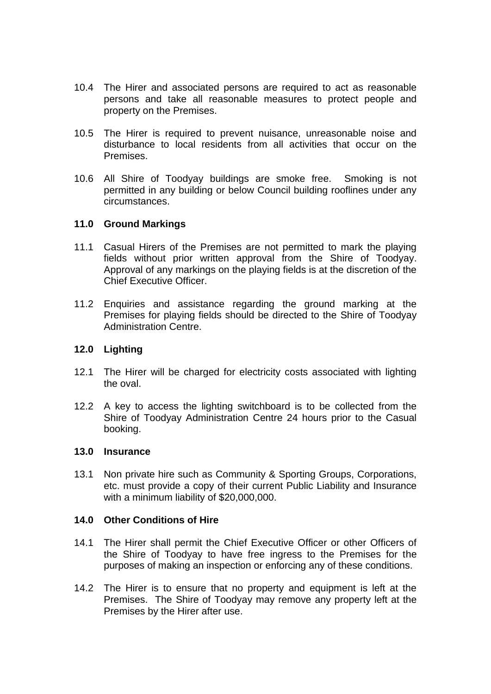- 10.4 The Hirer and associated persons are required to act as reasonable persons and take all reasonable measures to protect people and property on the Premises.
- 10.5 The Hirer is required to prevent nuisance, unreasonable noise and disturbance to local residents from all activities that occur on the Premises.
- 10.6 All Shire of Toodyay buildings are smoke free. Smoking is not permitted in any building or below Council building rooflines under any circumstances.

#### **11.0 Ground Markings**

- 11.1 Casual Hirers of the Premises are not permitted to mark the playing fields without prior written approval from the Shire of Toodyay. Approval of any markings on the playing fields is at the discretion of the Chief Executive Officer.
- 11.2 Enquiries and assistance regarding the ground marking at the Premises for playing fields should be directed to the Shire of Toodyay Administration Centre.

#### **12.0 Lighting**

- 12.1 The Hirer will be charged for electricity costs associated with lighting the oval.
- 12.2 A key to access the lighting switchboard is to be collected from the Shire of Toodyay Administration Centre 24 hours prior to the Casual booking.

#### **13.0 Insurance**

13.1 Non private hire such as Community & Sporting Groups, Corporations, etc. must provide a copy of their current Public Liability and Insurance with a minimum liability of \$20,000,000.

#### **14.0 Other Conditions of Hire**

- 14.1 The Hirer shall permit the Chief Executive Officer or other Officers of the Shire of Toodyay to have free ingress to the Premises for the purposes of making an inspection or enforcing any of these conditions.
- 14.2 The Hirer is to ensure that no property and equipment is left at the Premises. The Shire of Toodyay may remove any property left at the Premises by the Hirer after use.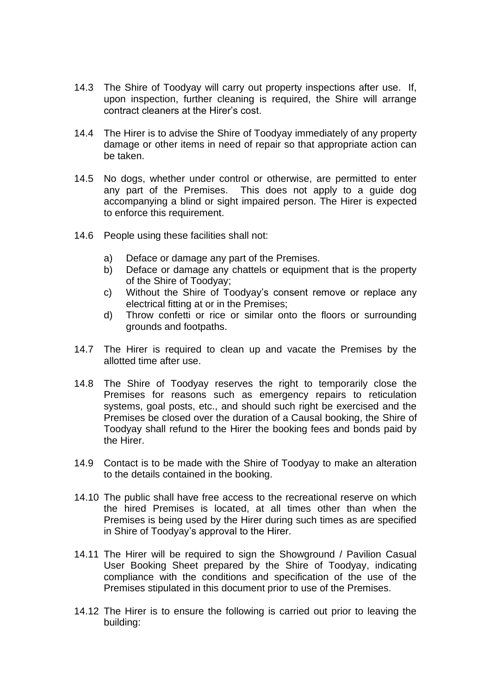- 14.3 The Shire of Toodyay will carry out property inspections after use. If, upon inspection, further cleaning is required, the Shire will arrange contract cleaners at the Hirer's cost.
- 14.4 The Hirer is to advise the Shire of Toodyay immediately of any property damage or other items in need of repair so that appropriate action can be taken.
- 14.5 No dogs, whether under control or otherwise, are permitted to enter any part of the Premises. This does not apply to a guide dog accompanying a blind or sight impaired person. The Hirer is expected to enforce this requirement.
- 14.6 People using these facilities shall not:
	- a) Deface or damage any part of the Premises.
	- b) Deface or damage any chattels or equipment that is the property of the Shire of Toodyay;
	- c) Without the Shire of Toodyay's consent remove or replace any electrical fitting at or in the Premises;
	- d) Throw confetti or rice or similar onto the floors or surrounding grounds and footpaths.
- 14.7 The Hirer is required to clean up and vacate the Premises by the allotted time after use.
- 14.8 The Shire of Toodyay reserves the right to temporarily close the Premises for reasons such as emergency repairs to reticulation systems, goal posts, etc., and should such right be exercised and the Premises be closed over the duration of a Causal booking, the Shire of Toodyay shall refund to the Hirer the booking fees and bonds paid by the Hirer.
- 14.9 Contact is to be made with the Shire of Toodyay to make an alteration to the details contained in the booking.
- 14.10 The public shall have free access to the recreational reserve on which the hired Premises is located, at all times other than when the Premises is being used by the Hirer during such times as are specified in Shire of Toodyay's approval to the Hirer.
- 14.11 The Hirer will be required to sign the Showground / Pavilion Casual User Booking Sheet prepared by the Shire of Toodyay, indicating compliance with the conditions and specification of the use of the Premises stipulated in this document prior to use of the Premises.
- 14.12 The Hirer is to ensure the following is carried out prior to leaving the building: